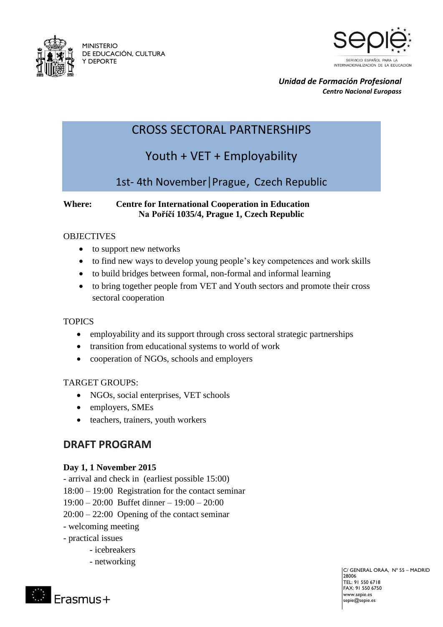

MINISTERIO DE EDUCACIÓN, CULTURA Y DEPORTE



*Unidad de Formación Profesional Centro Nacional Europass*

## CROSS SECTORAL PARTNERSHIPS

# Youth + VET + Employability

### 1st- 4th November|Prague, [Czech Republic](https://www.google.es/search?q=prague+czech+republic&biw=1920&bih=956&tbm=isch&tbo=u&source=univ&sa=X&sqi=2&ved=0CCAQsARqFQoTCLXwxYWK0MYCFcNL2wodZ6kLVw)

#### **Where: Centre for International Cooperation in Education Na Poříčí 1035/4, Prague 1, Czech Republic**

#### **OBJECTIVES**

- to support new networks
- to find new ways to develop young people's key competences and work skills
- to build bridges between formal, non-formal and informal learning
- to bring together people from VET and Youth sectors and promote their cross sectoral cooperation

#### **TOPICS**

- employability and its support through cross sectoral strategic partnerships
- transition from educational systems to world of work
- cooperation of NGOs, schools and employers

#### TARGET GROUPS:

- NGOs, social enterprises, VET schools
- employers, SMEs
- teachers, trainers, youth workers

### **DRAFT PROGRAM**

#### **Day 1, 1 November 2015**

- arrival and check in (earliest possible 15:00)
- 18:00 19:00 Registration for the contact seminar
- 19:00 20:00 Buffet dinner 19:00 20:00
- 20:00 22:00 Opening of the contact seminar
- welcoming meeting
- practical issues

Erasmus+

- icebreakers
- networking

C/ GENERAL ORÁA, Nº 55 – MADRID 28006  $TTF1.915506718$ FAX: 91 550 6750 www.sepie.es sepie@sepie.es